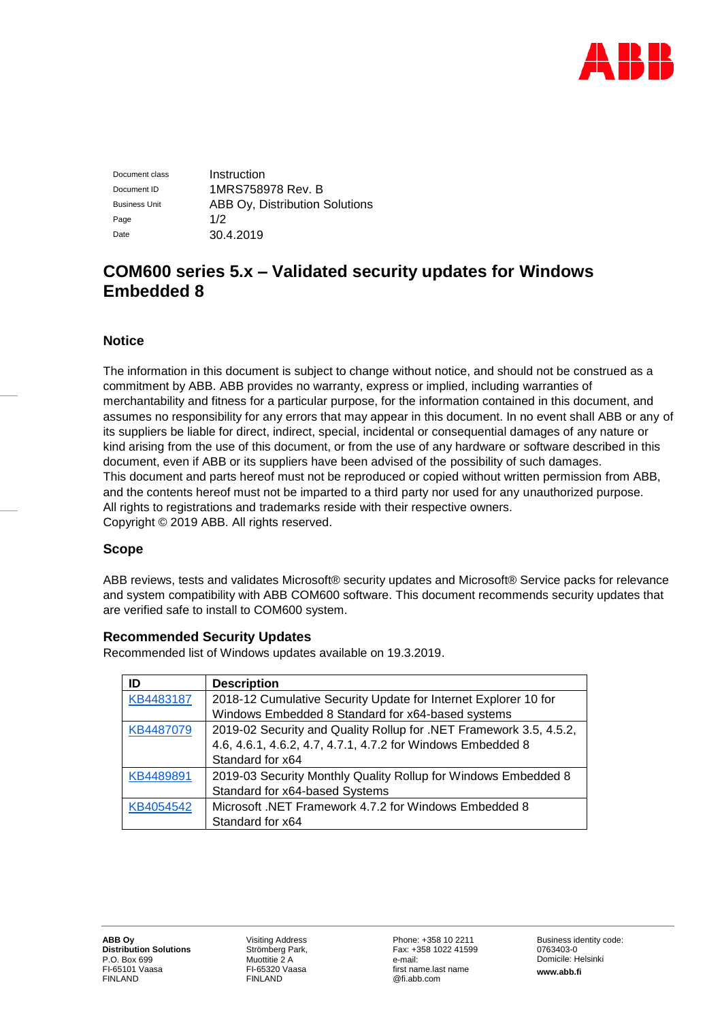

Document class **Instruction** Document ID 1MRS758978 Rev. B Business Unit **ABB Oy, Distribution Solutions** Page  $1/2$ Date 30.4.2019

# **COM600 series 5.x – Validated security updates for Windows Embedded 8**

### **Notice**

The information in this document is subject to change without notice, and should not be construed as a commitment by ABB. ABB provides no warranty, express or implied, including warranties of merchantability and fitness for a particular purpose, for the information contained in this document, and assumes no responsibility for any errors that may appear in this document. In no event shall ABB or any of its suppliers be liable for direct, indirect, special, incidental or consequential damages of any nature or kind arising from the use of this document, or from the use of any hardware or software described in this document, even if ABB or its suppliers have been advised of the possibility of such damages. This document and parts hereof must not be reproduced or copied without written permission from ABB, and the contents hereof must not be imparted to a third party nor used for any unauthorized purpose. All rights to registrations and trademarks reside with their respective owners. Copyright © 2019 ABB. All rights reserved.

#### **Scope**

ABB reviews, tests and validates Microsoft® security updates and Microsoft® Service packs for relevance and system compatibility with ABB COM600 software. This document recommends security updates that are verified safe to install to COM600 system.

#### **Recommended Security Updates**

Recommended list of Windows updates available on 19.3.2019.

| ID        | <b>Description</b>                                                 |  |
|-----------|--------------------------------------------------------------------|--|
| KB4483187 | 2018-12 Cumulative Security Update for Internet Explorer 10 for    |  |
|           | Windows Embedded 8 Standard for x64-based systems                  |  |
| KB4487079 | 2019-02 Security and Quality Rollup for .NET Framework 3.5, 4.5.2, |  |
|           | 4.6, 4.6.1, 4.6.2, 4.7, 4.7.1, 4.7.2 for Windows Embedded 8        |  |
|           | Standard for x64                                                   |  |
| KB4489891 | 2019-03 Security Monthly Quality Rollup for Windows Embedded 8     |  |
|           | Standard for x64-based Systems                                     |  |
| KB4054542 | Microsoft .NET Framework 4.7.2 for Windows Embedded 8              |  |
|           | Standard for x64                                                   |  |

Visiting Address Strömberg Park, Muottitie 2 A FI-65320 Vaasa FINLAND

Phone: +358 10 2211 Fax: +358 1022 41599 e-mail: first name.last name @fi.abb.com

Business identity code: 0763403-0 Domicile: Helsinki **www.abb.fi**